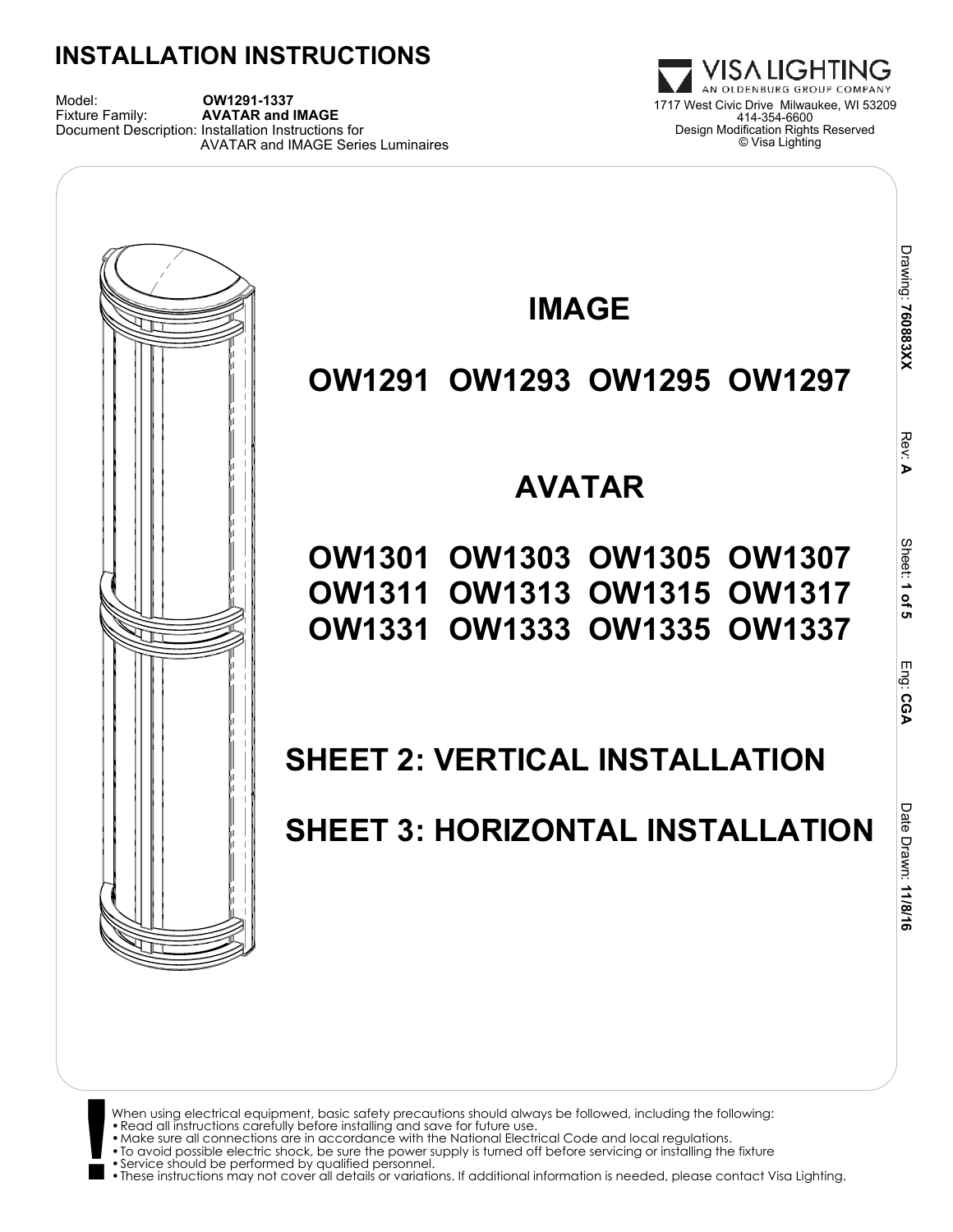Model: **OW1291-1337**<br>Fixture Family: **AVATAR and IMAGE** Document Description: Installation Instructions for AVATAR and IMAGE Series Luminaires



When using electrical equipment, basic safety precautions should always be followed, including the following: •Read all instructions carefully before installing and save for future use.

- 
- •Make sure all connections are in accordance with the National Electrical Code and local regulations.
- **!** •To avoid possible electric shock, be sure the power supply is turned off before servicing or installing the fixture •Service should be performed by qualified personnel.
	-

•These instructions may not cover all details or variations. If additional information is needed, please contact Visa Lighting.

1717 West Civic Drive Milwaukee, WI 53209 414-354-6600 Design Modification Rights Reserved © Visa Lighting

VISA LIGHTING AN OLDENBURG GROUP COMPANY

 **CGA**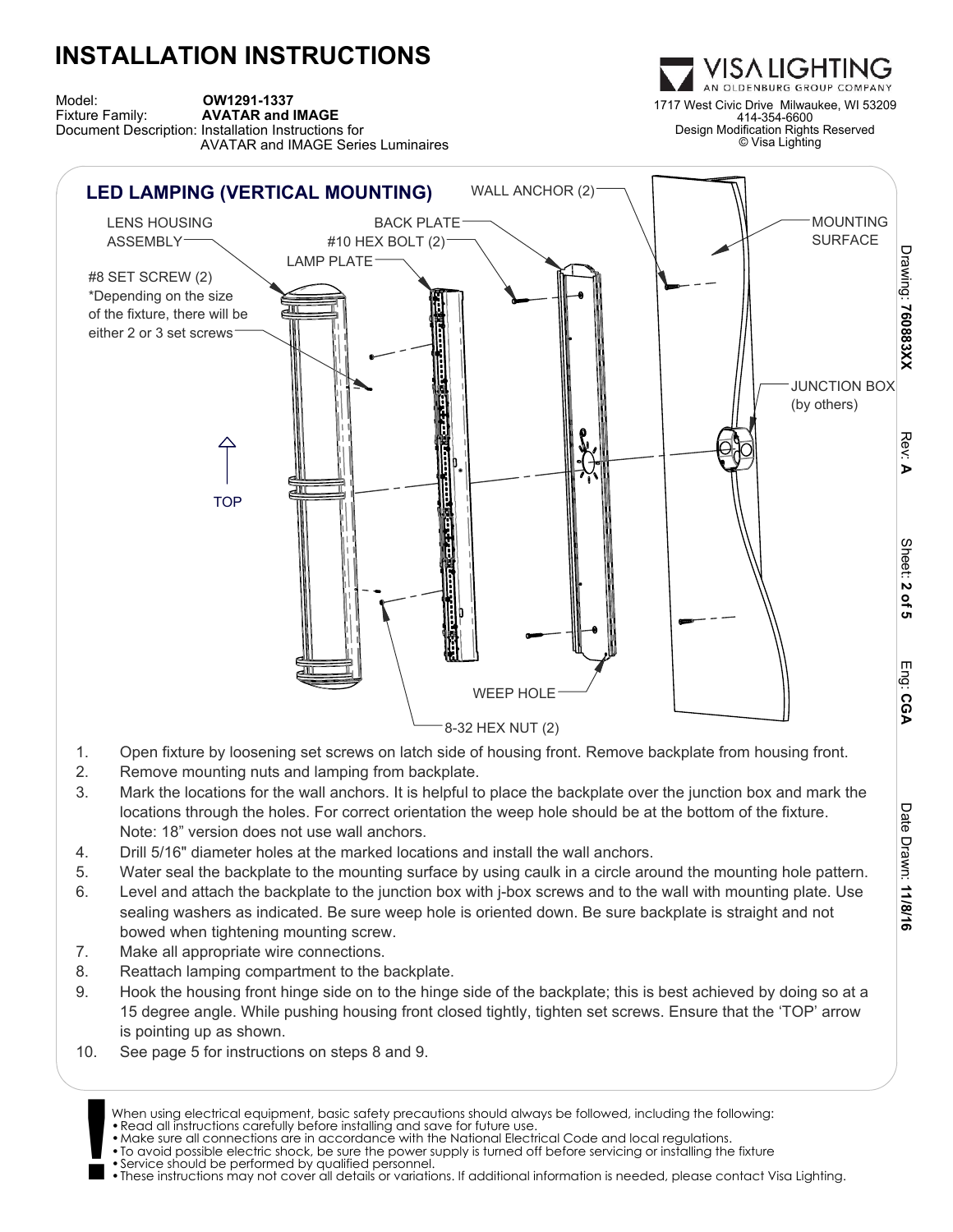

#### 8-32 HEX NUT (2)

- 1. Open fixture by loosening set screws on latch side of housing front. Remove backplate from housing front.
- 2. Remove mounting nuts and lamping from backplate.

**INSTALLATION INSTRUCTIONS**

- 3. Mark the locations for the wall anchors. It is helpful to place the backplate over the junction box and mark the locations through the holes. For correct orientation the weep hole should be at the bottom of the fixture. Note: 18" version does not use wall anchors.
- 4. Drill 5/16" diameter holes at the marked locations and install the wall anchors.
- 5. Water seal the backplate to the mounting surface by using caulk in a circle around the mounting hole pattern.

Date Drawn:Date Drawn: **11/8/16** 

- 6. Level and attach the backplate to the junction box with j-box screws and to the wall with mounting plate. Use sealing washers as indicated. Be sure weep hole is oriented down. Be sure backplate is straight and not bowed when tightening mounting screw.
- 7. Make all appropriate wire connections.
- 8. Reattach lamping compartment to the backplate.
- 9. Hook the housing front hinge side on to the hinge side of the backplate; this is best achieved by doing so at a 15 degree angle. While pushing housing front closed tightly, tighten set screws. Ensure that the 'TOP' arrow is pointing up as shown.
- 10. See page 5 for instructions on steps 8 and 9.
	- When using electrical equipment, basic safety precautions should always be followed, including the following:
	- •Read all instructions carefully before installing and save for future use.
	- •Make sure all connections are in accordance with the National Electrical Code and local regulations.
- **!** •To avoid possible electric shock, be sure the power supply is turned off before servicing or installing the fixture
	- •Service should be performed by qualified personnel.
	- •These instructions may not cover all details or variations. If additional information is needed, please contact Visa Lighting.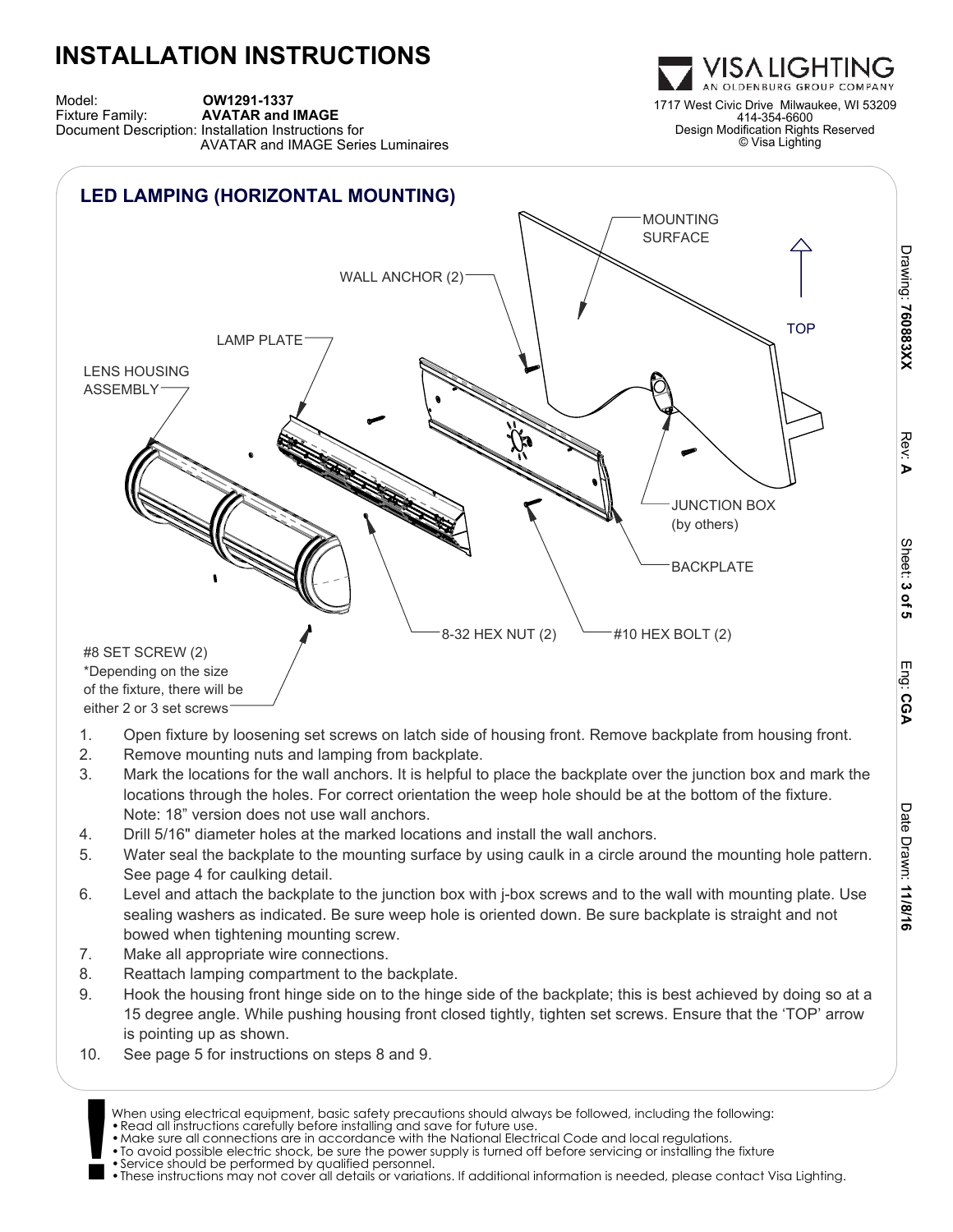Model: **OW1291-1337**<br>Fixture Family: **AVATAR and IMAGE** Document Description: Installation Instructions for AVATAR and IMAGE Series Luminaires



- 1. Open fixture by loosening set screws on latch side of housing front. Remove backplate from housing front.
- 2. Remove mounting nuts and lamping from backplate.
- 3. Mark the locations for the wall anchors. It is helpful to place the backplate over the junction box and mark the locations through the holes. For correct orientation the weep hole should be at the bottom of the fixture. Note: 18" version does not use wall anchors.
- 4. Drill 5/16" diameter holes at the marked locations and install the wall anchors.
- 5. Water seal the backplate to the mounting surface by using caulk in a circle around the mounting hole pattern. See page 4 for caulking detail.
- 6. Level and attach the backplate to the junction box with j-box screws and to the wall with mounting plate. Use sealing washers as indicated. Be sure weep hole is oriented down. Be sure backplate is straight and not bowed when tightening mounting screw.
- 7. Make all appropriate wire connections.
- 8. Reattach lamping compartment to the backplate.
- 9. Hook the housing front hinge side on to the hinge side of the backplate; this is best achieved by doing so at a 15 degree angle. While pushing housing front closed tightly, tighten set screws. Ensure that the 'TOP' arrow is pointing up as shown.
- 10. See page 5 for instructions on steps 8 and 9.
	- When using electrical equipment, basic safety precautions should always be followed, including the following:
	- •Read all instructions carefully before installing and save for future use.
	- •Make sure all connections are in accordance with the National Electrical Code and local regulations.
- **!** •To avoid possible electric shock, be sure the power supply is turned off before servicing or installing the fixture •Service should be performed by qualified personnel.
	- •These instructions may not cover all details or variations. If additional information is needed, please contact Visa Lighting.

ISA LIGHTIN 1717 West Civic Drive Milwaukee, WI 53209 414-354-6600 Design Modification Rights Reserved © Visa Lighting

Drawing: 760883XX  **760883XX**

> Rev:<u>ъ</u>

Sheet:

 **3 of 5**

Eng:

 **CGA**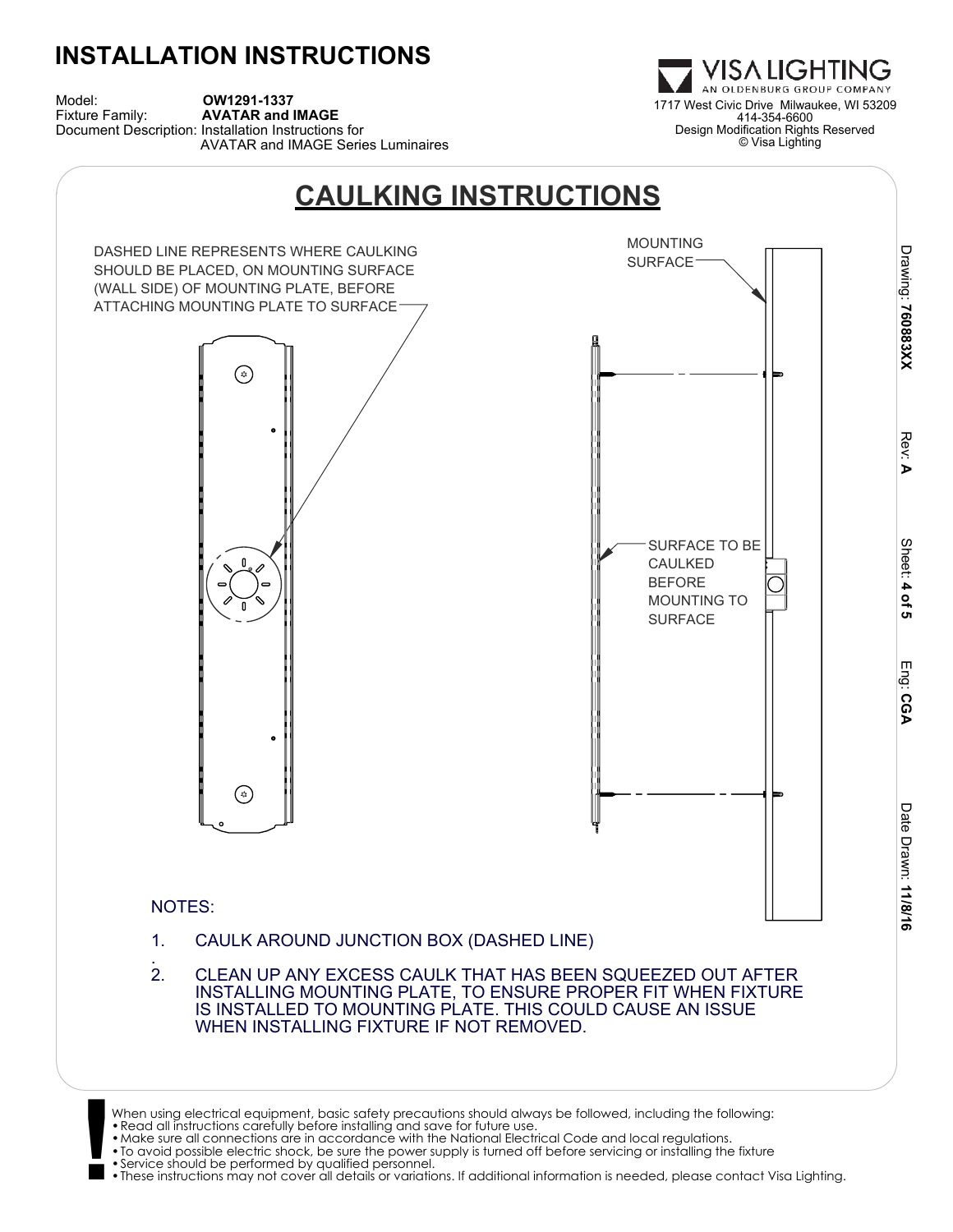Model: **OW1291-1337**<br>Fixture Family: **AVATAR and IMAGE** Document Description: Installation Instructions for AVATAR and IMAGE Series Luminaires



WHEN INSTALLING FIXTURE IF NOT REMOVED.

**!** •To avoid possible electric shock, be sure the power supply is turned off before servicing or installing the fixture •Service should be performed by qualified personnel.

•These instructions may not cover all details or variations. If additional information is needed, please contact Visa Lighting.

1717 West Civic Drive Milwaukee, WI 53209 414-354-6600 Design Modification Rights Reserved © Visa Lighting

VISA LIGHTING AN OLDENBURG GROUP COMPANY

When using electrical equipment, basic safety precautions should always be followed, including the following:<br>• Read all instructions carefully before installing and save for future use.<br>• Make sure all connections are in